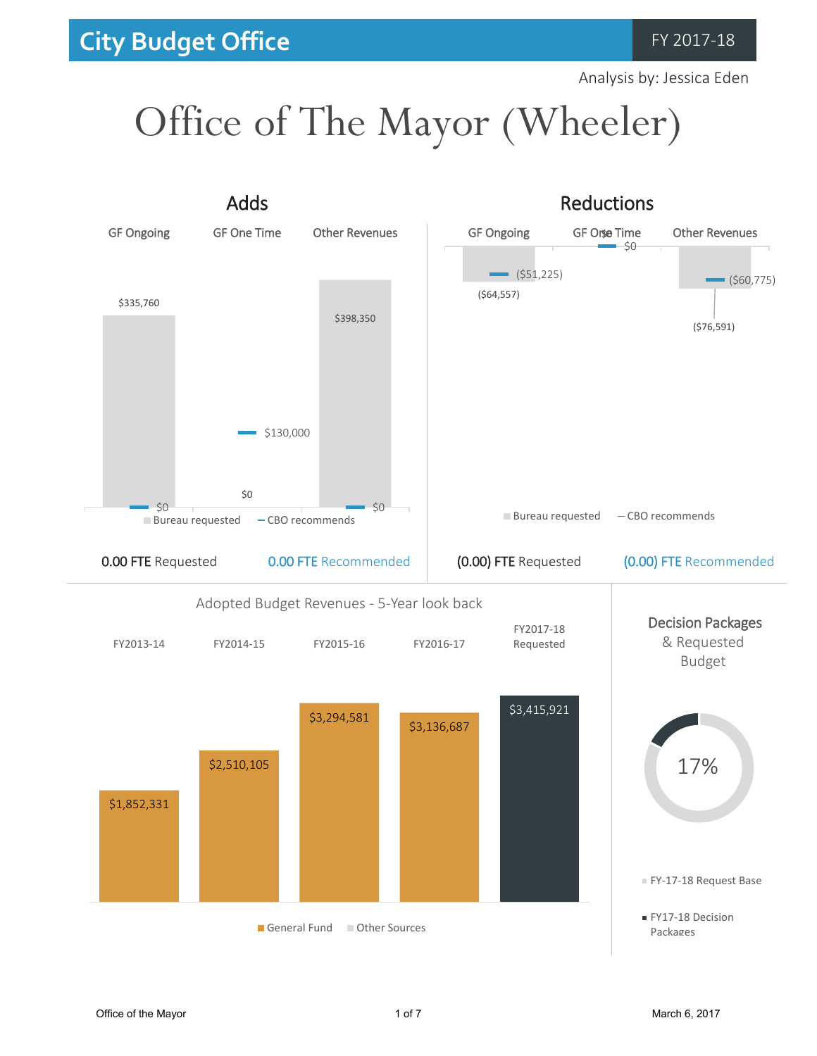Analysis by: Jessica Eden

# Office of The Mayor (Wheeler)

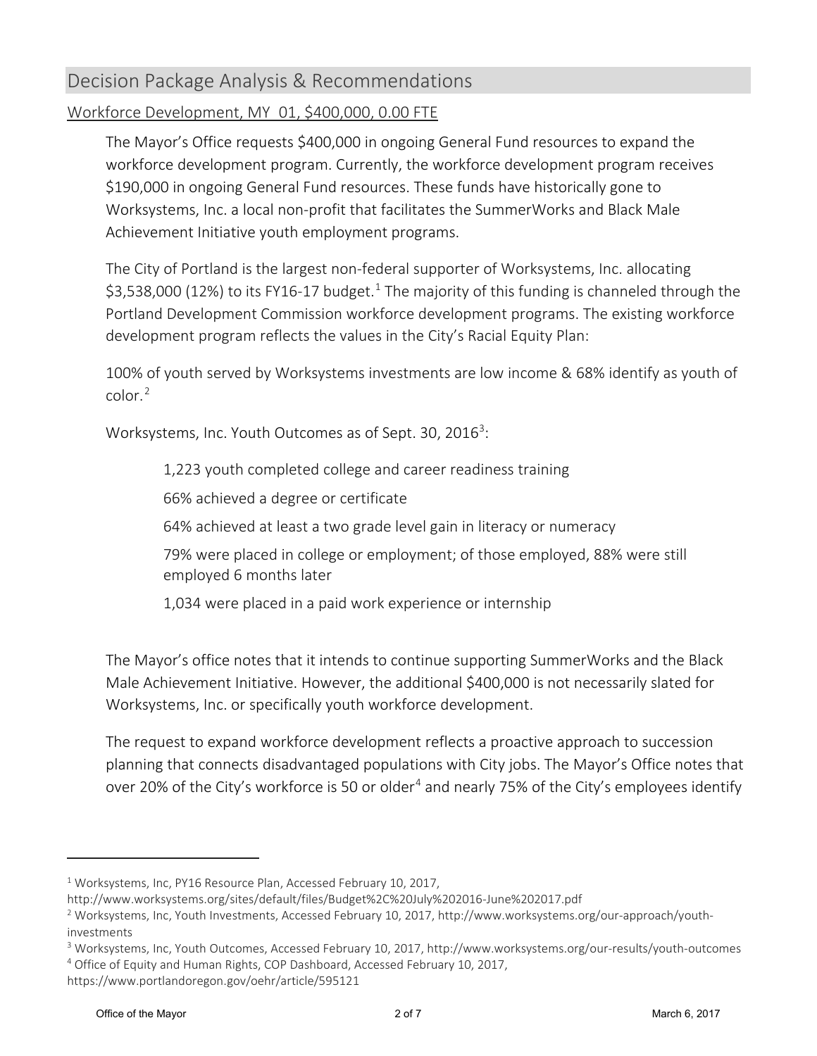### Decision Package Analysis & Recommendations

#### Workforce Development, MY\_01, \$400,000, 0.00 FTE

The Mayor's Office requests \$400,000 in ongoing General Fund resources to expand the workforce development program. Currently, the workforce development program receives \$190,000 in ongoing General Fund resources. These funds have historically gone to Worksystems, Inc. a local non-profit that facilitates the SummerWorks and Black Male Achievement Initiative youth employment programs.

The City of Portland is the largest non-federal supporter of Worksystems, Inc. allocating \$3,538,000 ([1](#page-1-0)2%) to its FY16-17 budget.<sup>1</sup> The majority of this funding is channeled through the Portland Development Commission workforce development programs. The existing workforce development program reflects the values in the City's Racial Equity Plan:

100% of youth served by Worksystems investments are low income & 68% identify as youth of color.[2](#page-1-1)

Worksystems, Inc. Youth Outcomes as of Sept. [3](#page-1-2)0, 2016<sup>3</sup>:

1,223 youth completed college and career readiness training

66% achieved a degree or certificate

64% achieved at least a two grade level gain in literacy or numeracy

79% were placed in college or employment; of those employed, 88% were still employed 6 months later

1,034 were placed in a paid work experience or internship

The Mayor's office notes that it intends to continue supporting SummerWorks and the Black Male Achievement Initiative. However, the additional \$400,000 is not necessarily slated for Worksystems, Inc. or specifically youth workforce development.

The request to expand workforce development reflects a proactive approach to succession planning that connects disadvantaged populations with City jobs. The Mayor's Office notes that over 20% of the City's workforce is 50 or older<sup>[4](#page-1-3)</sup> and nearly 75% of the City's employees identify

 $\overline{a}$ 

<span id="page-1-0"></span><sup>&</sup>lt;sup>1</sup> Worksystems, Inc, PY16 Resource Plan, Accessed February 10, 2017,

http://www.worksystems.org/sites/default/files/Budget%2C%20July%202016-June%202017.pdf

<span id="page-1-1"></span><sup>2</sup> Worksystems, Inc, Youth Investments, Accessed February 10, 2017, http://www.worksystems.org/our-approach/youthinvestments

<span id="page-1-3"></span><span id="page-1-2"></span><sup>3</sup> Worksystems, Inc, Youth Outcomes, Accessed February 10, 2017, http://www.worksystems.org/our-results/youth-outcomes <sup>4</sup> Office of Equity and Human Rights, COP Dashboard, Accessed February 10, 2017,

https://www.portlandoregon.gov/oehr/article/595121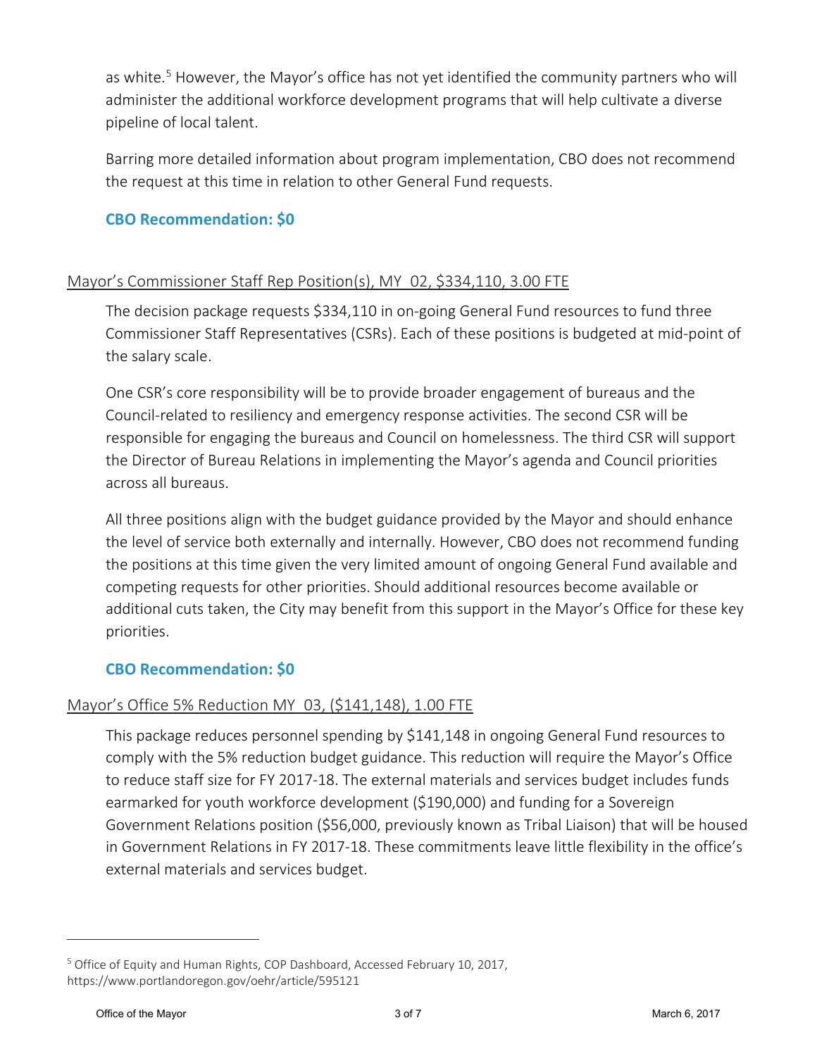as white.<sup>[5](#page-2-0)</sup> However, the Mayor's office has not yet identified the community partners who will administer the additional workforce development programs that will help cultivate a diverse pipeline of local talent.

Barring more detailed information about program implementation, CBO does not recommend the request at this time in relation to other General Fund requests.

#### **CBO Recommendation: \$0**

#### Mayor's Commissioner Staff Rep Position(s), MY\_02, \$334,110, 3.00 FTE

The decision package requests \$334,110 in on-going General Fund resources to fund three Commissioner Staff Representatives (CSRs). Each of these positions is budgeted at mid-point of the salary scale.

One CSR's core responsibility will be to provide broader engagement of bureaus and the Council-related to resiliency and emergency response activities. The second CSR will be responsible for engaging the bureaus and Council on homelessness. The third CSR will support the Director of Bureau Relations in implementing the Mayor's agenda and Council priorities across all bureaus.

All three positions align with the budget guidance provided by the Mayor and should enhance the level of service both externally and internally. However, CBO does not recommend funding the positions at this time given the very limited amount of ongoing General Fund available and competing requests for other priorities. Should additional resources become available or additional cuts taken, the City may benefit from this support in the Mayor's Office for these key priorities.

#### **CBO Recommendation: \$0**

#### Mayor's Office 5% Reduction MY\_03, (\$141,148), 1.00 FTE

This package reduces personnel spending by \$141,148 in ongoing General Fund resources to comply with the 5% reduction budget guidance. This reduction will require the Mayor's Office to reduce staff size for FY 2017-18. The external materials and services budget includes funds earmarked for youth workforce development (\$190,000) and funding for a Sovereign Government Relations position (\$56,000, previously known as Tribal Liaison) that will be housed in Government Relations in FY 2017-18. These commitments leave little flexibility in the office's external materials and services budget.

 $\overline{a}$ 

<span id="page-2-0"></span><sup>5</sup> Office of Equity and Human Rights, COP Dashboard, Accessed February 10, 2017, https://www.portlandoregon.gov/oehr/article/595121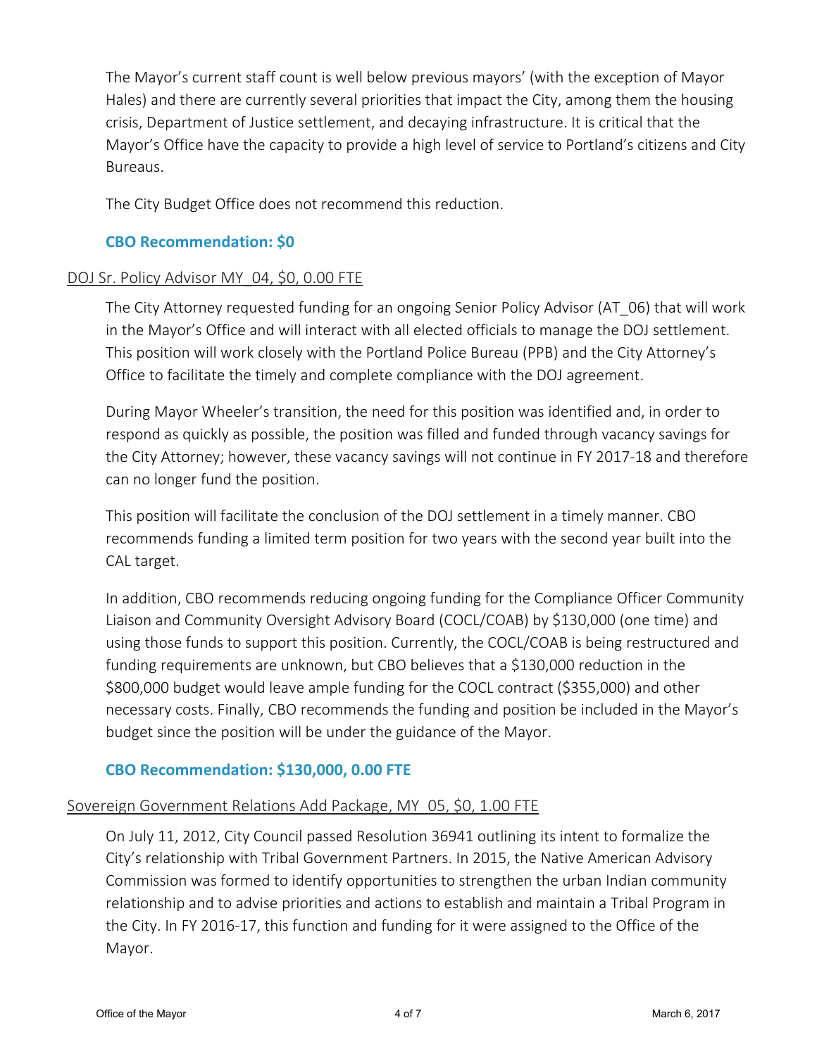The Mayor's current staff count is well below previous mayors' (with the exception of Mayor Hales) and there are currently several priorities that impact the City, among them the housing crisis, Department of Justice settlement, and decaying infrastructure. It is critical that the Mayor's Office have the capacity to provide a high level of service to Portland's citizens and City Bureaus.

The City Budget Office does not recommend this reduction.

#### **CBO Recommendation: \$0**

#### DOJ Sr. Policy Advisor MY 04, \$0, 0.00 FTE

The City Attorney requested funding for an ongoing Senior Policy Advisor (AT\_06) that will work in the Mayor's Office and will interact with all elected officials to manage the DOJ settlement. This position will work closely with the Portland Police Bureau (PPB) and the City Attorney's Office to facilitate the timely and complete compliance with the DOJ agreement.

During Mayor Wheeler's transition, the need for this position was identified and, in order to respond as quickly as possible, the position was filled and funded through vacancy savings for the City Attorney; however, these vacancy savings will not continue in FY 2017-18 and therefore can no longer fund the position.

This position will facilitate the conclusion of the DOJ settlement in a timely manner. CBO recommends funding a limited term position for two years with the second year built into the CAL target.

In addition, CBO recommends reducing ongoing funding for the Compliance Officer Community Liaison and Community Oversight Advisory Board (COCL/COAB) by \$130,000 (one time) and using those funds to support this position. Currently, the COCL/COAB is being restructured and funding requirements are unknown, but CBO believes that a \$130,000 reduction in the \$800,000 budget would leave ample funding for the COCL contract (\$355,000) and other necessary costs. Finally, CBO recommends the funding and position be included in the Mayor's budget since the position will be under the guidance of the Mayor.

#### **CBO Recommendation: \$130,000, 0.00 FTE**

#### Sovereign Government Relations Add Package, MY\_05, \$0, 1.00 FTE

On July 11, 2012, City Council passed Resolution 36941 outlining its intent to formalize the City's relationship with Tribal Government Partners. In 2015, the Native American Advisory Commission was formed to identify opportunities to strengthen the urban Indian community relationship and to advise priorities and actions to establish and maintain a Tribal Program in the City. In FY 2016-17, this function and funding for it were assigned to the Office of the Mayor.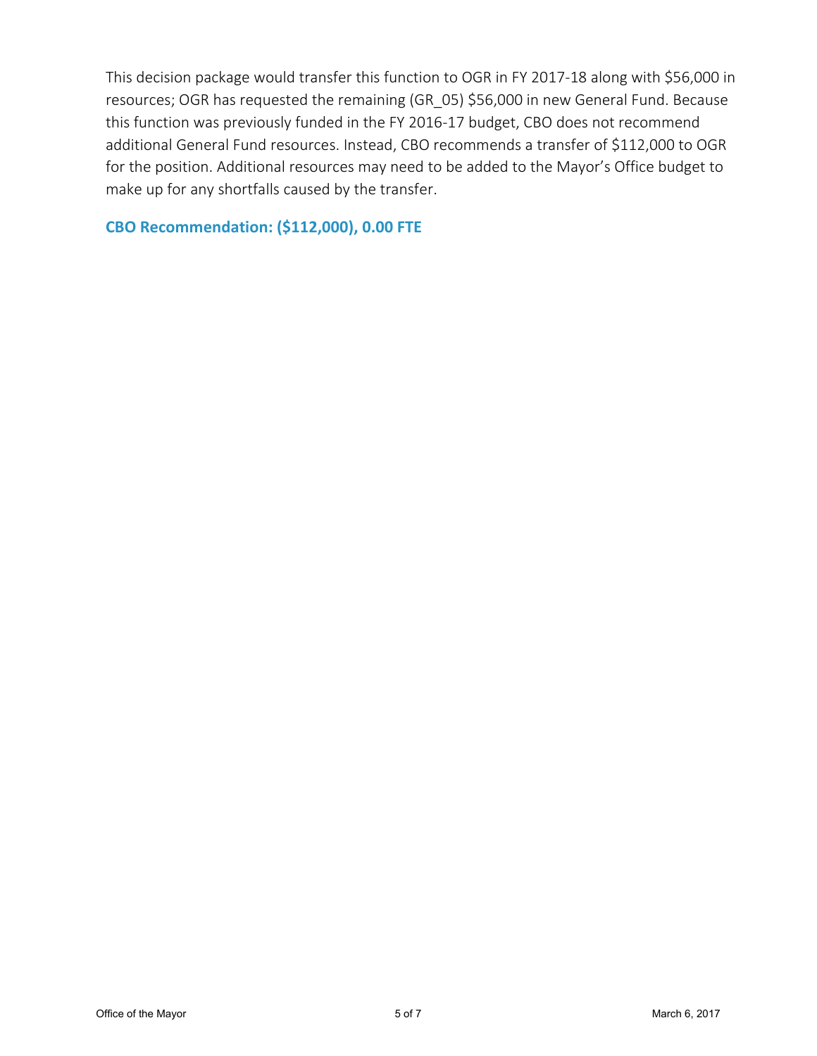This decision package would transfer this function to OGR in FY 2017-18 along with \$56,000 in resources; OGR has requested the remaining (GR\_05) \$56,000 in new General Fund. Because this function was previously funded in the FY 2016-17 budget, CBO does not recommend additional General Fund resources. Instead, CBO recommends a transfer of \$112,000 to OGR for the position. Additional resources may need to be added to the Mayor's Office budget to make up for any shortfalls caused by the transfer.

**CBO Recommendation: (\$112,000), 0.00 FTE**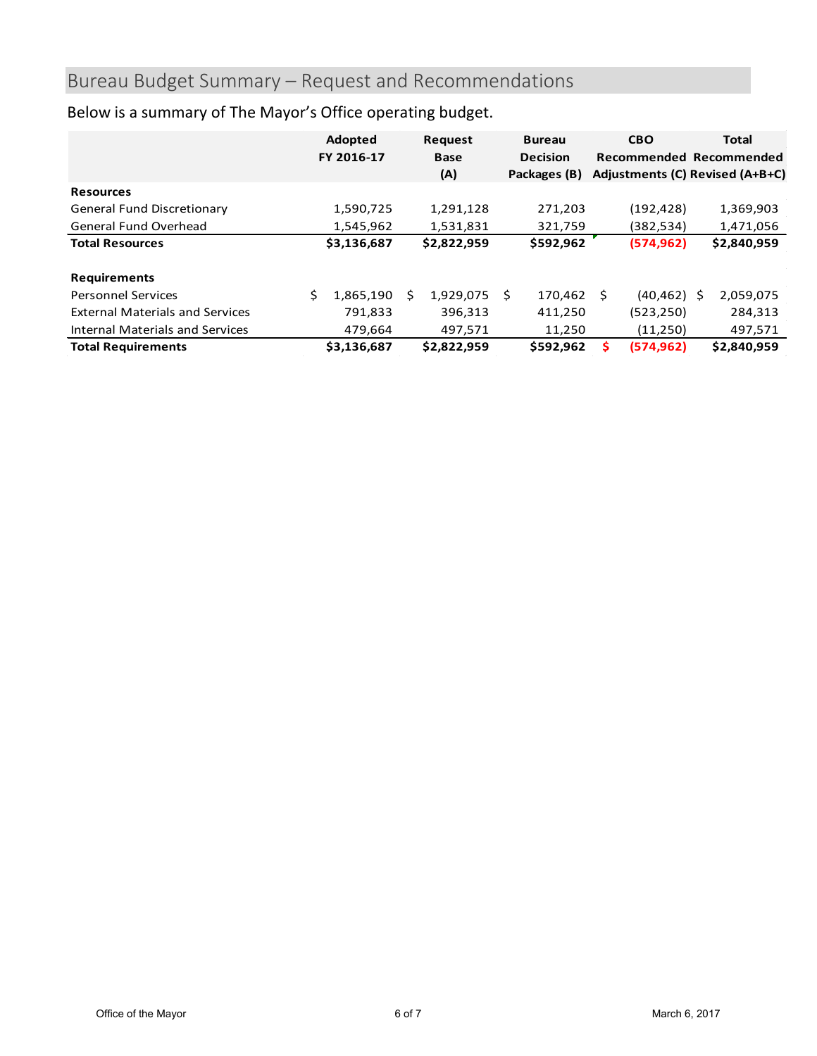# Bureau Budget Summary – Request and Recommendations

|                                        |   | Adopted<br>FY 2016-17 |    | <b>Request</b><br><b>Base</b> |    | <b>Bureau</b>   | <b>CBO</b>            | <b>Total</b><br>Recommended Recommended |  |
|----------------------------------------|---|-----------------------|----|-------------------------------|----|-----------------|-----------------------|-----------------------------------------|--|
|                                        |   |                       |    |                               |    | <b>Decision</b> |                       |                                         |  |
|                                        |   |                       |    | (A)                           |    | Packages (B)    |                       | Adjustments (C) Revised (A+B+C)         |  |
| <b>Resources</b>                       |   |                       |    |                               |    |                 |                       |                                         |  |
| <b>General Fund Discretionary</b>      |   | 1,590,725             |    | 1,291,128                     |    | 271,203         | (192, 428)            | 1,369,903                               |  |
| General Fund Overhead                  |   | 1,545,962             |    | 1,531,831                     |    | 321,759         | (382,534)             | 1,471,056                               |  |
| <b>Total Resources</b>                 |   | \$3,136,687           |    | \$2,822,959                   |    | \$592,962       | (574, 962)            | \$2,840,959                             |  |
|                                        |   |                       |    |                               |    |                 |                       |                                         |  |
| <b>Requirements</b>                    |   |                       |    |                               |    |                 |                       |                                         |  |
| <b>Personnel Services</b>              | Ś | 1,865,190             | S. | 1,929,075                     | S. | 170,462         | $(40, 462)$ \$<br>- Ś | 2,059,075                               |  |
| <b>External Materials and Services</b> |   | 791,833               |    | 396,313                       |    | 411,250         | (523, 250)            | 284,313                                 |  |
| Internal Materials and Services        |   | 479,664               |    | 497,571                       |    | 11,250          | (11,250)              | 497,571                                 |  |
| <b>Total Requirements</b>              |   | \$3,136,687           |    | \$2,822,959                   |    | \$592,962       | (574, 962)<br>s       | \$2,840,959                             |  |

# Below is a summary of The Mayor's Office operating budget.